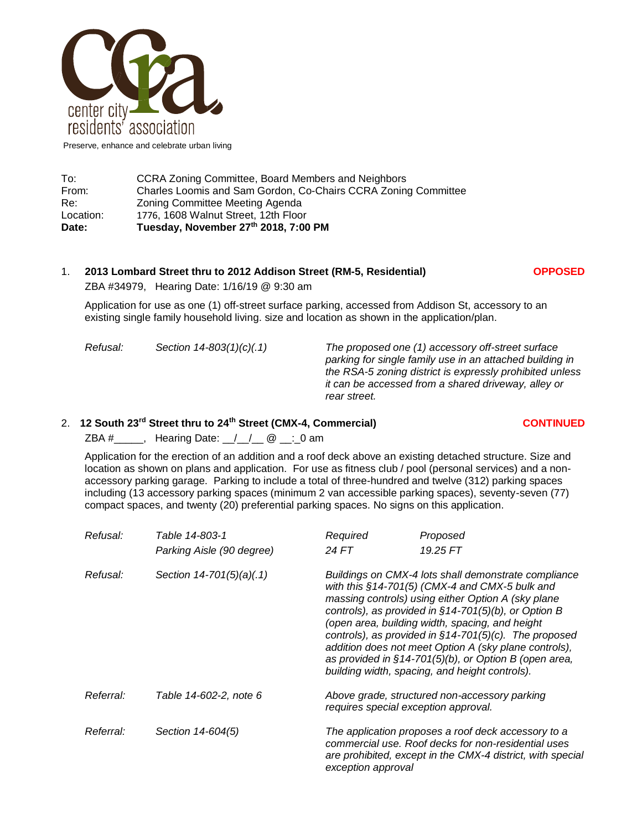

Preserve, enhance and celebrate urban living

| Date:     | Tuesday, November 27th 2018, 7:00 PM                           |  |  |
|-----------|----------------------------------------------------------------|--|--|
| Location: | 1776, 1608 Walnut Street, 12th Floor                           |  |  |
| Re:       | Zoning Committee Meeting Agenda                                |  |  |
| From:     | Charles Loomis and Sam Gordon, Co-Chairs CCRA Zoning Committee |  |  |
| To:       | CCRA Zoning Committee, Board Members and Neighbors             |  |  |

## 1. **2013 Lombard Street thru to 2012 Addison Street (RM-5, Residential) OPPOSED**

ZBA #34979, Hearing Date: 1/16/19 @ 9:30 am

Application for use as one (1) off-street surface parking, accessed from Addison St, accessory to an existing single family household living. size and location as shown in the application/plan.

*Refusal: Section 14-803(1)(c)(.1) The proposed one (1) accessory off-street surface parking for single family use in an attached building in the RSA-5 zoning district is expressly prohibited unless it can be accessed from a shared driveway, alley or rear street.*

## 2. **12 South 23rd Street thru to 24th Street (CMX-4, Commercial) CONTINUED**

ZBA  $#$  \_\_\_\_\_, Hearing Date:  $\angle$  /  $\angle$  @ \_\_: 0 am

Application for the erection of an addition and a roof deck above an existing detached structure. Size and location as shown on plans and application. For use as fitness club / pool (personal services) and a nonaccessory parking garage. Parking to include a total of three-hundred and twelve (312) parking spaces including (13 accessory parking spaces (minimum 2 van accessible parking spaces), seventy-seven (77) compact spaces, and twenty (20) preferential parking spaces. No signs on this application.

| Refusal:  | Table 14-803-1            | Required                                                                                                                                                                                                                                                                                                                                                                                                                                                                                                      | Proposed |
|-----------|---------------------------|---------------------------------------------------------------------------------------------------------------------------------------------------------------------------------------------------------------------------------------------------------------------------------------------------------------------------------------------------------------------------------------------------------------------------------------------------------------------------------------------------------------|----------|
|           | Parking Aisle (90 degree) | 24 FT                                                                                                                                                                                                                                                                                                                                                                                                                                                                                                         | 19.25 FT |
| Refusal:  | Section 14-701(5)(a)(.1)  | Buildings on CMX-4 lots shall demonstrate compliance<br>with this §14-701(5) (CMX-4 and CMX-5 bulk and<br>massing controls) using either Option A (sky plane<br>controls), as provided in $§14-701(5)(b)$ , or Option B<br>(open area, building width, spacing, and height<br>controls), as provided in $§14-701(5)(c)$ . The proposed<br>addition does not meet Option A (sky plane controls),<br>as provided in $§14-701(5)(b)$ , or Option B (open area,<br>building width, spacing, and height controls). |          |
| Referral: | Table 14-602-2, note 6    | Above grade, structured non-accessory parking<br>requires special exception approval.                                                                                                                                                                                                                                                                                                                                                                                                                         |          |
| Referral: | Section 14-604(5)         | The application proposes a roof deck accessory to a<br>commercial use. Roof decks for non-residential uses<br>are prohibited, except in the CMX-4 district, with special<br>exception approval                                                                                                                                                                                                                                                                                                                |          |